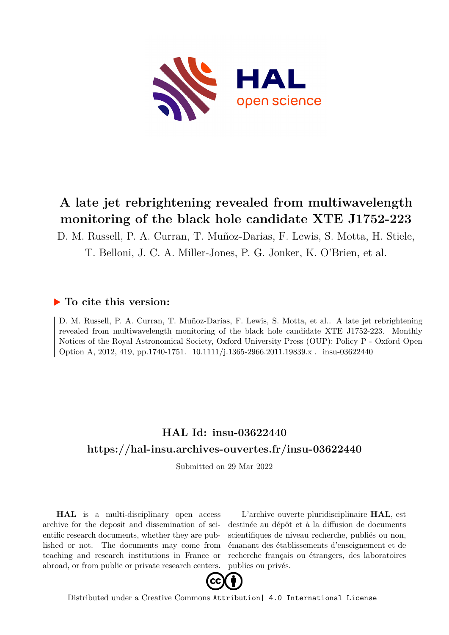

## **A late jet rebrightening revealed from multiwavelength monitoring of the black hole candidate XTE J1752-223**

D. M. Russell, P. A. Curran, T. Muñoz-Darias, F. Lewis, S. Motta, H. Stiele, T. Belloni, J. C. A. Miller-Jones, P. G. Jonker, K. O'Brien, et al.

### **To cite this version:**

D. M. Russell, P. A. Curran, T. Muñoz-Darias, F. Lewis, S. Motta, et al.. A late jet rebrightening revealed from multiwavelength monitoring of the black hole candidate XTE J1752-223. Monthly Notices of the Royal Astronomical Society, Oxford University Press (OUP): Policy P - Oxford Open Option A, 2012, 419, pp.1740-1751. 10.1111/j.1365-2966.2011.19839.x. insu-03622440

## **HAL Id: insu-03622440 <https://hal-insu.archives-ouvertes.fr/insu-03622440>**

Submitted on 29 Mar 2022

**HAL** is a multi-disciplinary open access archive for the deposit and dissemination of scientific research documents, whether they are published or not. The documents may come from teaching and research institutions in France or abroad, or from public or private research centers.

L'archive ouverte pluridisciplinaire **HAL**, est destinée au dépôt et à la diffusion de documents scientifiques de niveau recherche, publiés ou non, émanant des établissements d'enseignement et de recherche français ou étrangers, des laboratoires publics ou privés.



Distributed under a Creative Commons [Attribution| 4.0 International License](http://creativecommons.org/licenses/by/4.0/)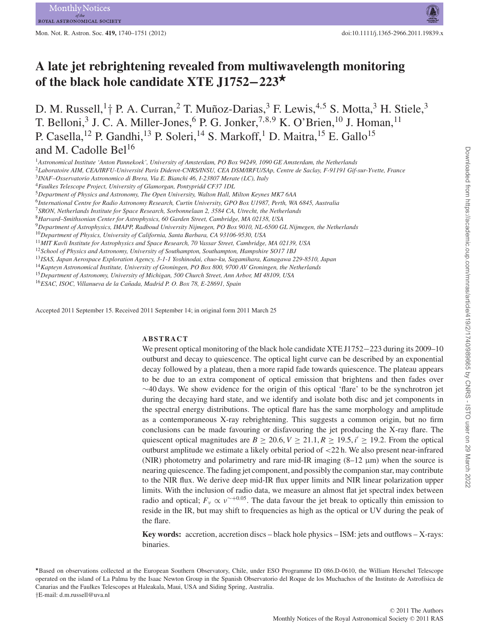Mon. Not. R. Astron. Soc. **419,** 1740–1751 (2012) doi:10.1111/j.1365-2966.2011.19839.x

# **A late jet rebrightening revealed from multiwavelength monitoring of the black hole candidate XTE J1752−223***-*

D. M. Russell,<sup>1</sup>† P. A. Curran,<sup>2</sup> T. Muñoz-Darias,<sup>3</sup> F. Lewis,<sup>4,5</sup> S. Motta,<sup>3</sup> H. Stiele,<sup>3</sup> T. Belloni,<sup>3</sup> J. C. A. Miller-Jones,<sup>6</sup> P. G. Jonker,<sup>7,8,9</sup> K. O'Brien,<sup>10</sup> J. Homan,<sup>11</sup> P. Casella,<sup>12</sup> P. Gandhi,<sup>13</sup> P. Soleri,<sup>14</sup> S. Markoff,<sup>1</sup> D. Maitra,<sup>15</sup> E. Gallo<sup>15</sup> and M. Cadolle Bel<sup>16</sup>

<sup>1</sup>*Astronomical Institute 'Anton Pannekoek', University of Amsterdam, PO Box 94249, 1090 GE Amsterdam, the Netherlands*

<sup>2</sup>*Laboratoire AIM, CEA/IRFU-Universite Paris Diderot-CNRS/INSU, CEA DSM/IRFU/SAp, Centre de Saclay, F-91191 Gif-sur-Yvette, France ´*

<sup>3</sup>*INAF–Osservatorio Astronomico di Brera, Via E. Bianchi 46, I-23807 Merate (LC), Italy*

<sup>4</sup>*Faulkes Telescope Project, University of Glamorgan, Pontypridd CF37 1DL*

<sup>5</sup>*Department of Physics and Astronomy, The Open University, Walton Hall, Milton Keynes MK7 6AA*

<sup>6</sup>*International Centre for Radio Astronomy Research, Curtin University, GPO Box U1987, Perth, WA 6845, Australia*

<sup>7</sup>*SRON, Netherlands Institute for Space Research, Sorbonnelaan 2, 3584 CA, Utrecht, the Netherlands*

<sup>8</sup>*Harvard–Smithsonian Center for Astrophysics, 60 Garden Street, Cambridge, MA 02138, USA*

<sup>9</sup>*Department of Astrophysics, IMAPP, Radboud University Nijmegen, PO Box 9010, NL-6500 GL Nijmegen, the Netherlands*

<sup>10</sup>*Department of Physics, University of California, Santa Barbara, CA 93106-9530, USA*

<sup>11</sup>*MIT Kavli Institute for Astrophysics and Space Research, 70 Vassar Street, Cambridge, MA 02139, USA*

<sup>12</sup>*School of Physics and Astronomy, University of Southampton, Southampton, Hampshire SO17 1BJ*

<sup>13</sup>*ISAS, Japan Aerospace Exploration Agency, 3-1-1 Yoshinodai, chuo-ku, Sagamihara, Kanagawa 229-8510, Japan*

<sup>14</sup>*Kapteyn Astronomical Institute, University of Groningen, PO Box 800, 9700 AV Groningen, the Netherlands*

<sup>15</sup>*Department of Astronomy, University of Michigan, 500 Church Street, Ann Arbor, MI 48109, USA*

<sup>16</sup>*ESAC, ISOC, Villanueva de la Canada, Madrid P. O. Box 78, E-28691, Spain ˜*

Accepted 2011 September 15. Received 2011 September 14; in original form 2011 March 25

#### **ABSTRACT**

We present optical monitoring of the black hole candidate XTE J1752−223 during its 2009–10 outburst and decay to quiescence. The optical light curve can be described by an exponential decay followed by a plateau, then a more rapid fade towards quiescence. The plateau appears to be due to an extra component of optical emission that brightens and then fades over ∼40 days. We show evidence for the origin of this optical 'flare' to be the synchrotron jet during the decaying hard state, and we identify and isolate both disc and jet components in the spectral energy distributions. The optical flare has the same morphology and amplitude as a contemporaneous X-ray rebrightening. This suggests a common origin, but no firm conclusions can be made favouring or disfavouring the jet producing the X-ray flare. The quiescent optical magnitudes are  $B \ge 20.6, V \ge 21.1, R \ge 19.5, i' \ge 19.2$ . From the optical outburst amplitude we estimate a likely orbital period of <22 h. We also present near-infrared (NIR) photometry and polarimetry and rare mid-IR imaging  $(8-12 \mu m)$  when the source is nearing quiescence. The fading jet component, and possibly the companion star, may contribute to the NIR flux. We derive deep mid-IR flux upper limits and NIR linear polarization upper limits. With the inclusion of radio data, we measure an almost flat jet spectral index between radio and optical;  $F_v \propto v^{\sim+0.05}$ . The data favour the jet break to optically thin emission to reside in the IR, but may shift to frequencies as high as the optical or UV during the peak of the flare.

**Key words:** accretion, accretion discs – black hole physics – ISM: jets and outflows – X-rays: binaries.

Based on observations collected at the European Southern Observatory, Chile, under ESO Programme ID 086.D-0610, the William Herschel Telescope operated on the island of La Palma by the Isaac Newton Group in the Spanish Observatorio del Roque de los Muchachos of the Instituto de Astrof´ısica de Canarias and the Faulkes Telescopes at Haleakala, Maui, USA and Siding Spring, Australia. †E-mail: d.m.russell@uva.nl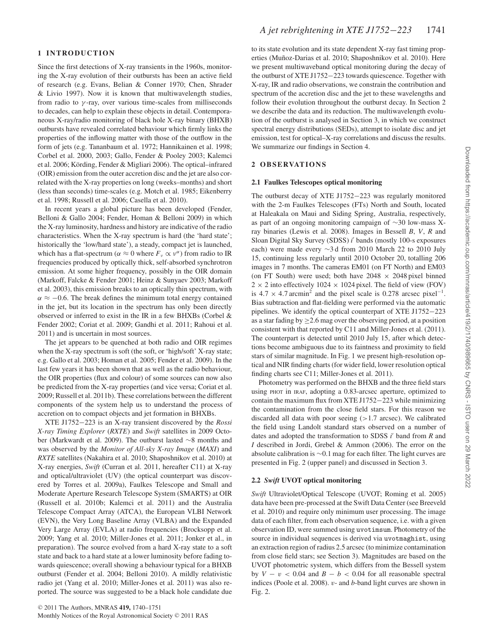#### **1 INTRODUCTION**

Since the first detections of X-ray transients in the 1960s, monitoring the X-ray evolution of their outbursts has been an active field of research (e.g. Evans, Belian & Conner 1970; Chen, Shrader & Livio 1997). Now it is known that multiwavelength studies, from radio to  $\gamma$ -ray, over various time-scales from milliseconds to decades, can help to explain these objects in detail. Contemporaneous X-ray/radio monitoring of black hole X-ray binary (BHXB) outbursts have revealed correlated behaviour which firmly links the properties of the inflowing matter with those of the outflow in the form of jets (e.g. Tananbaum et al. 1972; Hannikainen et al. 1998; Corbel et al. 2000, 2003; Gallo, Fender & Pooley 2003; Kalemci et al. 2006; Körding, Fender & Migliari 2006). The optical–infrared (OIR) emission from the outer accretion disc and the jet are also correlated with the X-ray properties on long (weeks–months) and short (less than seconds) time-scales (e.g. Motch et al. 1985; Eikenberry et al. 1998; Russell et al. 2006; Casella et al. 2010).

In recent years a global picture has been developed (Fender, Belloni & Gallo 2004; Fender, Homan & Belloni 2009) in which the X-ray luminosity, hardness and history are indicative of the radio characteristics. When the X-ray spectrum is hard (the 'hard state'; historically the 'low/hard state'), a steady, compact jet is launched, which has a flat-spectrum ( $\alpha \approx 0$  where  $F_v \propto v^{\alpha}$ ) from radio to IR frequencies produced by optically thick, self-absorbed synchrotron emission. At some higher frequency, possibly in the OIR domain (Markoff, Falcke & Fender 2001; Heinz & Sunyaev 2003; Markoff et al. 2003), this emission breaks to an optically thin spectrum, with  $\alpha \approx -0.6$ . The break defines the minimum total energy contained in the jet, but its location in the spectrum has only been directly observed or inferred to exist in the IR in a few BHXBs (Corbel & Fender 2002; Coriat et al. 2009; Gandhi et al. 2011; Rahoui et al. 2011) and is uncertain in most sources.

The jet appears to be quenched at both radio and OIR regimes when the X-ray spectrum is soft (the soft, or 'high/soft' X-ray state; e.g. Gallo et al. 2003; Homan et al. 2005; Fender et al. 2009). In the last few years it has been shown that as well as the radio behaviour, the OIR properties (flux and colour) of some sources can now also be predicted from the X-ray properties (and vice versa; Coriat et al. 2009; Russell et al. 2011b). These correlations between the different components of the system help us to understand the process of accretion on to compact objects and jet formation in BHXBs.

XTE J1752−223 is an X-ray transient discovered by the *Rossi X-ray Timing Explorer* (*RXTE*) and *Swift* satellites in 2009 October (Markwardt et al. 2009). The outburst lasted ∼8 months and was observed by the *Monitor of All-sky X-ray Image* (*MAXI*) and *RXTE* satellites (Nakahira et al. 2010; Shaposhnikov et al. 2010) at X-ray energies, *Swift* (Curran et al. 2011, hereafter C11) at X-ray and optical/ultraviolet (UV) (the optical counterpart was discovered by Torres et al. 2009a), Faulkes Telescope and Small and Moderate Aperture Research Telescope System (SMARTS) at OIR (Russell et al. 2010b; Kalemci et al. 2011) and the Australia Telescope Compact Array (ATCA), the European VLBI Network (EVN), the Very Long Baseline Array (VLBA) and the Expanded Very Large Array (EVLA) at radio frequencies (Brocksopp et al. 2009; Yang et al. 2010; Miller-Jones et al. 2011; Jonker et al., in preparation). The source evolved from a hard X-ray state to a soft state and back to a hard state at a lower luminosity before fading towards quiescence; overall showing a behaviour typical for a BHXB outburst (Fender et al. 2004; Belloni 2010). A mildly relativistic radio jet (Yang et al. 2010; Miller-Jones et al. 2011) was also reported. The source was suggested to be a black hole candidate due

to its state evolution and its state dependent X-ray fast timing properties (Muñoz-Darias et al. 2010; Shaposhnikov et al. 2010). Here we present multiwaveband optical monitoring during the decay of the outburst of XTE J1752−223 towards quiescence. Together with X-ray, IR and radio observations, we constrain the contribution and spectrum of the accretion disc and the jet to these wavelengths and follow their evolution throughout the outburst decay. In Section 2 we describe the data and its reduction. The multiwavelength evolution of the outburst is analysed in Section 3, in which we construct spectral energy distributions (SEDs), attempt to isolate disc and jet emission, test for optical–X-ray correlations and discuss the results. We summarize our findings in Section 4.

#### **2 O B S E RVAT I O N S**

#### **2.1 Faulkes Telescopes optical monitoring**

The outburst decay of XTE J1752−223 was regularly monitored with the 2-m Faulkes Telescopes (FTs) North and South, located at Haleakala on Maui and Siding Spring, Australia, respectively, as part of an ongoing monitoring campaign of ∼30 low-mass Xray binaries (Lewis et al. 2008). Images in Bessell *B*, *V*, *R* and Sloan Digital Sky Survey (SDSS) *i* bands (mostly 100-s exposures each) were made every ∼3 d from 2010 March 22 to 2010 July 15, continuing less regularly until 2010 October 20, totalling 206 images in 7 months. The cameras EM01 (on FT North) and EM03 (on FT South) were used; both have  $2048 \times 2048$  pixel binned  $2 \times 2$  into effectively 1024  $\times$  1024 pixel. The field of view (FOV) is 4.7  $\times$  4.7 arcmin<sup>2</sup> and the pixel scale is 0.278 arcsec pixel<sup>-1</sup>. Bias subtraction and flat-fielding were performed via the automatic pipelines. We identify the optical counterpart of XTE J1752−223 as a star fading by  $\geq$  2.6 mag over the observing period, at a position consistent with that reported by C11 and Miller-Jones et al. (2011). The counterpart is detected until 2010 July 15, after which detections become ambiguous due to its faintness and proximity to field stars of similar magnitude. In Fig. 1 we present high-resolution optical and NIR finding charts (for wider field, lower resolution optical finding charts see C11; Miller-Jones et al. 2011).

Photometry was performed on the BHXB and the three field stars using PHOT in IRAF, adopting a 0.83-arcsec aperture, optimized to contain the maximum flux from XTE J1752−223 while minimizing the contamination from the close field stars. For this reason we discarded all data with poor seeing (>1.7 arcsec). We calibrated the field using Landolt standard stars observed on a number of dates and adopted the transformation to SDSS *i* band from *R* and *I* described in Jordi, Grebel & Ammon (2006). The error on the absolute calibration is ∼0.1 mag for each filter. The light curves are presented in Fig. 2 (upper panel) and discussed in Section 3.

#### **2.2** *Swift* **UVOT optical monitoring**

*Swift* Ultraviolet/Optical Telescope (UVOT; Roming et al. 2005) data have been pre-processed at the Swift Data Center (see Breeveld et al. 2010) and require only minimum user processing. The image data of each filter, from each observation sequence, i.e. with a given observation ID, were summed using uvotimsum. Photometry of the source in individual sequences is derived via uvotmaghist, using an extraction region of radius 2.5 arcsec (to minimize contamination from close field stars; see Section 3). Magnitudes are based on the UVOT photometric system, which differs from the Bessell system by  $V - v < 0.04$  and  $B - b < 0.04$  for all reasonable spectral indices (Poole et al. 2008). v- and *b*-band light curves are shown in Fig. 2.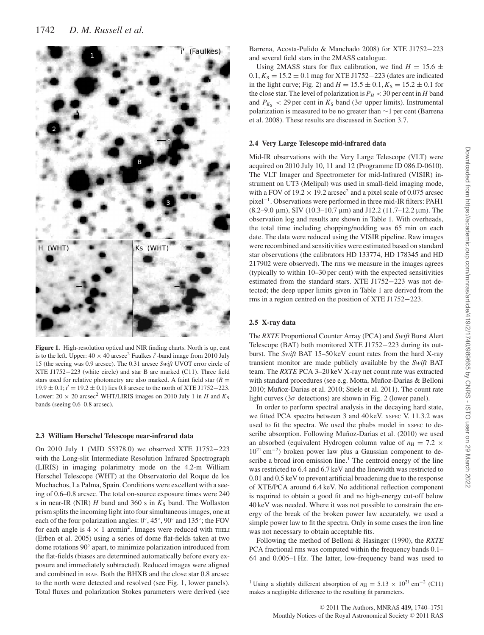

**Figure 1.** High-resolution optical and NIR finding charts. North is up, east is to the left. Upper:  $40 \times 40$  arcsec<sup>2</sup> Faulkes *i'*-band image from 2010 July 15 (the seeing was 0.9 arcsec). The 0.31 arcsec *Swift* UVOT error circle of XTE J1752−223 (white circle) and star B are marked (C11). Three field stars used for relative photometry are also marked. A faint field star  $(R =$ 19.9 ± 0.1; *i* = 19.2 ± 0.1) lies 0.8 arcsec to the north of XTE J1752−223. Lower:  $20 \times 20$  arcsec<sup>2</sup> WHT/LIRIS images on 2010 July 1 in *H* and  $K_S$ bands (seeing 0.6–0.8 arcsec).

#### **2.3 William Herschel Telescope near-infrared data**

On 2010 July 1 (MJD 55378.0) we observed XTE J1752−223 with the Long-slit Intermediate Resolution Infrared Spectrograph (LIRIS) in imaging polarimetry mode on the 4.2-m William Herschel Telescope (WHT) at the Observatorio del Roque de los Muchachos, La Palma, Spain. Conditions were excellent with a seeing of 0.6–0.8 arcsec. The total on-source exposure times were 240 s in near-IR (NIR)  $H$  band and 360 s in  $K_S$  band. The Wollaston prism splits the incoming light into four simultaneous images, one at each of the four polarization angles: 0◦, 45◦, 90◦ and 135◦; the FOV for each angle is  $4 \times 1$  arcmin<sup>2</sup>. Images were reduced with THELI (Erben et al. 2005) using a series of dome flat-fields taken at two dome rotations 90◦ apart, to minimize polarization introduced from the flat-fields (biases are determined automatically before every exposure and immediately subtracted). Reduced images were aligned and combined in IRAF. Both the BHXB and the close star 0.8 arcsec to the north were detected and resolved (see Fig. 1, lower panels). Total fluxes and polarization Stokes parameters were derived (see

Barrena, Acosta-Pulido & Manchado 2008) for XTE J1752−223 and several field stars in the 2MASS catalogue.

Using 2MASS stars for flux calibration, we find  $H = 15.6 \pm 10^{-10}$  $0.1, K<sub>S</sub> = 15.2 \pm 0.1$  mag for XTE J1752–223 (dates are indicated in the light curve; Fig. 2) and  $H = 15.5 \pm 0.1$ ,  $K_S = 15.2 \pm 0.1$  for the close star. The level of polarization is  $P_H < 30$  per cent in *H* band and  $P_{K<sub>S</sub>}$  < 29 per cent in  $K<sub>S</sub>$  band (3 $\sigma$  upper limits). Instrumental polarization is measured to be no greater than ∼1 per cent (Barrena et al. 2008). These results are discussed in Section 3.7.

#### **2.4 Very Large Telescope mid-infrared data**

Mid-IR observations with the Very Large Telescope (VLT) were acquired on 2010 July 10, 11 and 12 (Programme ID 086.D-0610). The VLT Imager and Spectrometer for mid-Infrared (VISIR) instrument on UT3 (Melipal) was used in small-field imaging mode, with a FOV of  $19.2 \times 19.2$  arcsec<sup>2</sup> and a pixel scale of 0.075 arcsec pixel−1. Observations were performed in three mid-IR filters: PAH1 (8.2–9.0 µm), SIV (10.3–10.7 µm) and J12.2 (11.7–12.2 µm). The observation log and results are shown in Table 1. With overheads, the total time including chopping/nodding was 65 min on each date. The data were reduced using the VISIR pipeline. Raw images were recombined and sensitivities were estimated based on standard star observations (the calibrators HD 133774, HD 178345 and HD 217902 were observed). The rms we measure in the images agrees (typically to within 10–30 per cent) with the expected sensitivities estimated from the standard stars. XTE J1752−223 was not detected; the deep upper limits given in Table 1 are derived from the rms in a region centred on the position of XTE J1752−223.

#### **2.5 X-ray data**

The *RXTE* Proportional Counter Array (PCA) and *Swift* Burst Alert Telescope (BAT) both monitored XTE J1752−223 during its outburst. The *Swift* BAT 15–50 keV count rates from the hard X-ray transient monitor are made publicly available by the *Swift* BAT team. The *RXTE* PCA 3–20 keV X-ray net count rate was extracted with standard procedures (see e.g. Motta, Muñoz-Darias & Belloni 2010; Muñoz-Darias et al. 2010; Stiele et al. 2011). The count rate light curves ( $3\sigma$  detections) are shown in Fig. 2 (lower panel).

In order to perform spectral analysis in the decaying hard state, we fitted PCA spectra between 3 and 40 keV. XSPEC V. 11.3.2 was used to fit the spectra. We used the phabs model in  $x$ spec to describe absorption. Following Muñoz-Darias et al. (2010) we used an absorbed (equivalent Hydrogen column value of  $n_{\rm H} = 7.2 \times$ 1021 cm−2) broken power law plus a Gaussian component to describe a broad iron emission line.<sup>1</sup> The centroid energy of the line was restricted to 6.4 and 6.7 keV and the linewidth was restricted to 0.01 and 0.5 keV to prevent artificial broadening due to the response of XTE/PCA around 6.4 keV. No additional reflection component is required to obtain a good fit and no high-energy cut-off below 40 keV was needed. Where it was not possible to constrain the energy of the break of the broken power law accurately, we used a simple power law to fit the spectra. Only in some cases the iron line was not necessary to obtain acceptable fits.

Following the method of Belloni & Hasinger (1990), the *RXTE* PCA fractional rms was computed within the frequency bands 0.1– 64 and 0.005–1 Hz. The latter, low-frequency band was used to

<sup>&</sup>lt;sup>1</sup> Using a slightly different absorption of  $n_{\rm H} = 5.13 \times 10^{21}$  cm<sup>-2</sup> (C11) makes a negligible difference to the resulting fit parameters.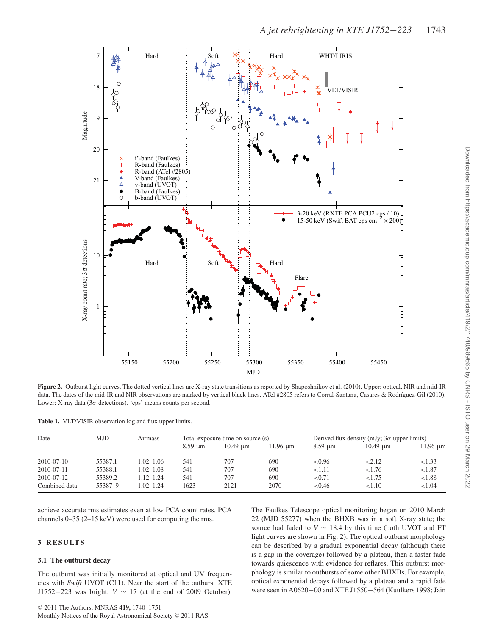

**Figure 2.** Outburst light curves. The dotted vertical lines are X-ray state transitions as reported by Shaposhnikov et al. (2010). Upper: optical, NIR and mid-IR data. The dates of the mid-IR and NIR observations are marked by vertical black lines. ATel #2805 refers to Corral-Santana, Casares & Rodríguez-Gil (2010). Lower: X-ray data (3σ detections). 'cps' means counts per second.

| Table 1. VLT/VISIR observation log and flux upper limits. |  |  |  |
|-----------------------------------------------------------|--|--|--|
|-----------------------------------------------------------|--|--|--|

| Date          | <b>MJD</b> | Airmass       | Total exposure time on source (s) |                    | Derived flux density (mJy; $3\sigma$ upper limits) |                            |                    |               |
|---------------|------------|---------------|-----------------------------------|--------------------|----------------------------------------------------|----------------------------|--------------------|---------------|
|               |            |               | $8.59 \text{ }\mu\text{m}$        | $10.49 \text{ µm}$ | $11.96 \text{ µm}$                                 | $8.59 \text{ }\mu\text{m}$ | $10.49 \text{ µm}$ | $11.96 \mu m$ |
| 2010-07-10    | 55387.1    | $1.02 - 1.06$ | 541                               | 707                | 690                                                | < 0.96                     | < 2.12             | < 1.33        |
| 2010-07-11    | 55388.1    | $1.02 - 1.08$ | 541                               | 707                | 690                                                | < 1.11                     | < 1.76             | < 1.87        |
| 2010-07-12    | 55389.2    | $1.12 - 1.24$ | 541                               | 707                | 690                                                | < 0.71                     | < 1.75             | < 1.88        |
| Combined data | 55387-9    | $1.02 - 1.24$ | 1623                              | 2121               | 2070                                               | < 0.46                     | ${<}1.10$          | < 1.04        |

achieve accurate rms estimates even at low PCA count rates. PCA channels 0–35 (2–15 keV) were used for computing the rms.

#### **3 RESULTS**

#### **3.1 The outburst decay**

The outburst was initially monitored at optical and UV frequencies with *Swift* UVOT (C11). Near the start of the outburst XTE J1752−223 was bright; *V* ∼ 17 (at the end of 2009 October). The Faulkes Telescope optical monitoring began on 2010 March 22 (MJD 55277) when the BHXB was in a soft X-ray state; the source had faded to  $V \sim 18.4$  by this time (both UVOT and FT light curves are shown in Fig. 2). The optical outburst morphology can be described by a gradual exponential decay (although there is a gap in the coverage) followed by a plateau, then a faster fade towards quiescence with evidence for reflares. This outburst morphology is similar to outbursts of some other BHXBs. For example, optical exponential decays followed by a plateau and a rapid fade were seen in A0620−00 and XTE J1550−564 (Kuulkers 1998; Jain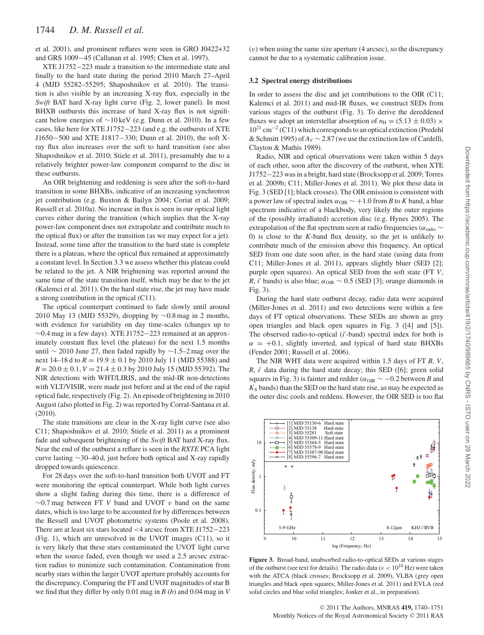et al. 2001), and prominent reflares were seen in GRO J0422+32 and GRS 1009−45 (Callanan et al. 1995; Chen et al. 1997).

XTE J1752−223 made a transition to the intermediate state and finally to the hard state during the period 2010 March 27–April 4 (MJD 55282–55295; Shaposhnikov et al. 2010). The transition is also visible by an increasing X-ray flux, especially in the *Swift* BAT hard X-ray light curve (Fig. 2, lower panel). In most BHXB outbursts this increase of hard X-ray flux is not significant below energies of ∼10 keV (e.g. Dunn et al. 2010). In a few cases, like here for XTE J1752−223 (and e.g. the outbursts of XTE J1650−500 and XTE J1817−330; Dunn et al. 2010), the soft Xray flux also increases over the soft to hard transition (see also Shaposhnikov et al. 2010; Stiele et al. 2011), presumably due to a relatively brighter power-law component compared to the disc in these outbursts.

An OIR brightening and reddening is seen after the soft-to-hard transition in some BHXBs, indicative of an increasing synchrotron jet contribution (e.g. Buxton & Bailyn 2004; Coriat et al. 2009; Russell et al. 2010a). No increase in flux is seen in our optical light curves either during the transition (which implies that the X-ray power-law component does not extrapolate and contribute much to the optical flux) or after the transition (as we may expect for a jet). Instead, some time after the transition to the hard state is complete there is a plateau, where the optical flux remained at approximately a constant level. In Section 3.3 we assess whether this plateau could be related to the jet. A NIR brightening was reported around the same time of the state transition itself, which may be due to the jet (Kalemci et al. 2011). On the hard state rise, the jet may have made a strong contribution in the optical (C11).

The optical counterpart continued to fade slowly until around 2010 May 13 (MJD 55329), dropping by ∼0.8 mag in 2 months, with evidence for variability on day time-scales (changes up to ∼0.4 mag in a few days). XTE J1752−223 remained at an approximately constant flux level (the plateau) for the next 1.5 months until ∼ 2010 June 27, then faded rapidly by ∼1.5–2 mag over the next 14–18 d to *R* = 19.9 ± 0.1 by 2010 July 11 (MJD 55388) and  $R = 20.0 \pm 0.1$ ,  $V = 21.4 \pm 0.3$  by 2010 July 15 (MJD 55392). The NIR detections with WHT/LIRIS, and the mid-IR non-detections with VLT/VISIR, were made just before and at the end of the rapid optical fade, respectively (Fig. 2). An episode of brightening in 2010 August (also plotted in Fig. 2) was reported by Corral-Santana et al. (2010).

The state transitions are clear in the X-ray light curve (see also C11; Shaposhnikov et al. 2010; Stiele et al. 2011) as a prominent fade and subsequent brightening of the *Swift* BAT hard X-ray flux. Near the end of the outburst a reflare is seen in the *RXTE* PCA light curve lasting ∼30–40 d, just before both optical and X-ray rapidly dropped towards quiescence.

For 28 days over the soft-to-hard transition both UVOT and FT were monitoring the optical counterpart. While both light curves show a slight fading during this time, there is a difference of ∼0.7 mag between FT *V* band and UVOT v band on the same dates, which is too large to be accounted for by differences between the Bessell and UVOT photometric systems (Poole et al. 2008). There are at least six stars located <4 arcsec from XTE J1752−223 (Fig. 1), which are unresolved in the UVOT images (C11), so it is very likely that these stars contaminated the UVOT light curve when the source faded, even though we used a 2.5 arcsec extraction radius to minimize such contamination. Contamination from nearby stars within the larger UVOT aperture probably accounts for the discrepancy. Comparing the FT and UVOT magnitudes of star B we find that they differ by only 0.01 mag in *B* (*b*) and 0.04 mag in *V*

 $(v)$  when using the same size aperture (4 arcsec), so the discrepancy cannot be due to a systematic calibration issue.

#### **3.2 Spectral energy distributions**

In order to assess the disc and jet contributions to the OIR (C11; Kalemci et al. 2011) and mid-IR fluxes, we construct SEDs from various stages of the outburst (Fig. 3). To derive the dereddened fluxes we adopt an interstellar absorption of  $n_{\rm H} = (5.13 \pm 0.03) \times$ 1021 cm−<sup>2</sup> (C11) which corresponds to an optical extinction (Predehl & Schmitt 1995) of *AV* ∼ 2.87 (we use the extinction law of Cardelli, Clayton & Mathis 1989).

Radio, NIR and optical observations were taken within 5 days of each other, soon after the discovery of the outburst, when XTE J1752−223 was in a bright, hard state (Brocksopp et al. 2009; Torres et al. 2009b; C11; Miller-Jones et al. 2011). We plot these data in Fig. 3 (SED [1]; black crosses). The OIR emission is consistent with a power law of spectral index  $\alpha_{\text{OIR}} \sim +1.0$  from *B* to *K* band, a blue spectrum indicative of a blackbody, very likely the outer regions of the (possibly irradiated) accretion disc (e.g. Hynes 2005). The extrapolation of the flat spectrum seen at radio frequencies ( $\alpha_{\rm radio} \sim$ 0) is close to the *K*-band flux density, so the jet is unlikely to contribute much of the emission above this frequency. An optical SED from one date soon after, in the hard state (using data from C11; Miller-Jones et al. 2011), appears slightly bluer (SED [2]; purple open squares). An optical SED from the soft state (FT *V*, *R*, *i'* bands) is also blue;  $\alpha_{\text{OIR}} \sim 0.5$  (SED [3]; orange diamonds in Fig. 3).

During the hard state outburst decay, radio data were acquired (Miller-Jones et al. 2011) and two detections were within a few days of FT optical observations. These SEDs are shown as grey open triangles and black open squares in Fig. 3 ([4] and [5]). The observed radio-to-optical (*i'*-band) spectral index for both is  $\alpha$  = +0.1, slightly inverted, and typical of hard state BHXBs (Fender 2001; Russell et al. 2006).

The NIR WHT data were acquired within 1.5 days of FT *B*, *V*, *R*, *i'* data during the hard state decay; this SED ([6]; green solid squares in Fig. 3) is fainter and redder ( $\alpha$ <sub>OIR</sub>  $\sim$  −0.2 between *B* and  $K<sub>S</sub>$  bands) than the SED on the hard state rise, as may be expected as the outer disc cools and reddens. However, the OIR SED is too flat



**Figure 3.** Broad-band, unabsorbed radio-to-optical SEDs at various stages of the outburst (see text for details). The radio data ( $\nu < 10^{10}$  Hz) were taken with the ATCA (black crosses; Brocksopp et al. 2009), VLBA (grey open triangles and black open squares; Miller-Jones et al. 2011) and EVLA (red solid circles and blue solid triangles; Jonker et al., in preparation).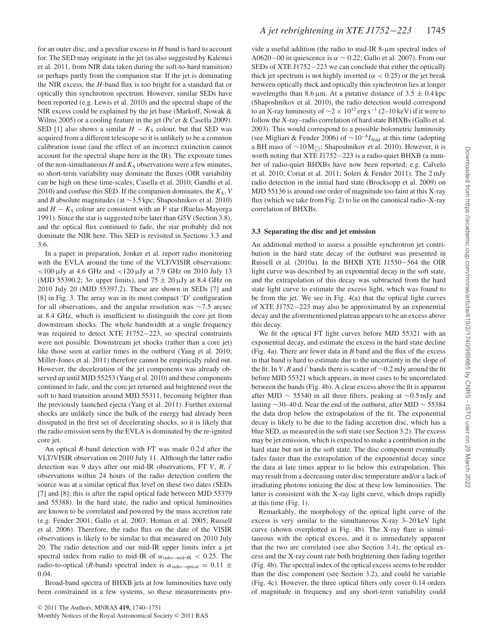for an outer disc, and a peculiar excess in *H* band is hard to account for. The SED may originate in the jet (as also suggested by Kalemci et al. 2011, from NIR data taken during the soft-to-hard transition) or perhaps partly from the companion star. If the jet is dominating the NIR excess, the *H*-band flux is too bright for a standard flat or optically thin synchrotron spectrum. However, similar SEDs have been reported (e.g. Lewis et al. 2010) and the spectral shape of the NIR excess could be explained by the jet base (Markoff, Nowak & Wilms 2005) or a cooling feature in the jet (Pe'er & Casella 2009). SED [1] also shows a similar  $H - K<sub>S</sub>$  colour, but that SED was acquired from a different telescope so it is unlikely to be a common calibration issue (and the effect of an incorrect extinction cannot account for the spectral shape here in the IR). The exposure times of the non-simultaneous  $H$  and  $K<sub>S</sub>$  observations were a few minutes, so short-term variability may dominate the fluxes (OIR variability can be high on these time-scales; Casella et al. 2010; Gandhi et al. 2010) and confuse this SED. If the companion dominates, the  $K_S$ ,  $V$ and *B* absolute magnitudes (at ∼3.5 kpc; Shaposhnikov et al. 2010) and  $H - K<sub>S</sub>$  colour are consistent with an F star (Ruelas-Mayorga 1991). Since the star is suggested to be later than G5V (Section 3.8), and the optical flux continued to fade, the star probably did not dominate the NIR here. This SED is revisited in Sections 3.3 and 3.6.

In a paper in preparation, Jonker et al. report radio monitoring with the EVLA around the time of the VLT/VISIR observations:  $<$ 100  $\mu$ Jy at 4.6 GHz and  $<$ 120  $\mu$ Jy at 7.9 GHz on 2010 July 13 (MJD 55390.2;  $3\sigma$  upper limits), and  $75 \pm 20 \,\mu$ Jy at 8.4 GHz on 2010 July 20 (MJD 55397.2). These are shown in SEDs [7] and [8] in Fig. 3. The array was in its most compact 'D' configuration for all observations, and the angular resolution was ∼7.5 arcsec at 8.4 GHz, which is insufficient to distinguish the core jet from downstream shocks. The whole bandwidth at a single frequency was required to detect XTE J1752−223, so spectral constraints were not possible. Downstream jet shocks (rather than a core jet) like those seen at earlier times in the outburst (Yang et al. 2010; Miller-Jones et al. 2011) therefore cannot be empirically ruled out. However, the deceleration of the jet components was already observed up until MJD 55253 (Yang et al. 2010) and these components continued to fade, and the core jet returned and brightened over the soft to hard transition around MJD 55311, becoming brighter than the previously launched ejecta (Yang et al. 2011). Further external shocks are unlikely since the bulk of the energy had already been dissipated in the first set of decelerating shocks, so it is likely that the radio emission seen by the EVLA is dominated by the re-ignited core jet.

An optical *R*-band detection with FT was made 0.2 d after the VLT/VISIR observation on 2010 July 11. Although the latter radio detection was 9 days after our mid-IR observations, FT *V*, *R*, *i* observations within 24 hours of the radio detection confirm the source was at a similar optical flux level on these two dates (SEDs [7] and [8]; this is after the rapid optical fade between MJD 55379 and 55388). In the hard state, the radio and optical luminosities are known to be correlated and powered by the mass accretion rate (e.g. Fender 2001; Gallo et al. 2003; Homan et al. 2005; Russell et al. 2006). Therefore, the radio flux on the date of the VISIR observations is likely to be similar to that measured on 2010 July 20. The radio detection and our mid-IR upper limits infer a jet spectral index from radio to mid-IR of  $\alpha_{\text{radio}-\text{mid}-\text{IR}} < 0.25$ . The radio-to-optical (*R*-band) spectral index is  $\alpha_{\text{radio-optical}} = 0.11 \pm$ 0.04.

Broad-band spectra of BHXB jets at low luminosities have only been constrained in a few systems, so these measurements provide a useful addition (the radio to mid-IR 8-µm spectral index of A0620−00 in quiescence is  $\alpha \sim 0.22$ ; Gallo et al. 2007). From our SEDs of XTE J1752−223 we can conclude that either the optically thick jet spectrum is not highly inverted ( $\alpha$  < 0.25) or the jet break between optically thick and optically thin synchrotron lies at longer wavelengths than 8.6  $\mu$ m. At a putative distance of 3.5  $\pm$  0.4 kpc (Shaposhnikov et al. 2010), the radio detection would correspond to an X-ray luminosity of  $\sim$ 2 × 10<sup>32</sup> erg s<sup>-1</sup> (2–10 keV) if it were to follow the X-ray–radio correlation of hard state BHXBs (Gallo et al. 2003). This would correspond to a possible bolometric luminosity (see Migliari & Fender 2006) of ∼10−<sup>6</sup>*L*Edd at this time (adopting a BH mass of  $∼10 M_{\odot}$ ; Shaposhnikov et al. 2010). However, it is worth noting that XTE J1752−223 is a radio-quiet BHXB (a number of radio-quiet BHXBs have now been reported; e.g. Calvelo et al. 2010; Coriat et al. 2011; Soleri & Fender 2011). The 2 mJy radio detection in the initial hard state (Brocksopp et al. 2009) on MJD 55136 is around one order of magnitude too faint at this X-ray flux (which we take from Fig. 2) to lie on the canonical radio–X-ray correlation of BHXBs.

#### **3.3 Separating the disc and jet emission**

An additional method to assess a possible synchrotron jet contribution in the hard state decay of the outburst was presented in Russell et al. (2010a). In the BHXB XTE J1550−564 the OIR light curve was described by an exponential decay in the soft state, and the extrapolation of this decay was subtracted from the hard state light curve to estimate the excess light, which was found to be from the jet. We see in Fig. 4(a) that the optical light curves of XTE J1752−223 may also be approximated by an exponential decay and the aforementioned plateau appears to be an excess above this decay.

We fit the optical FT light curves before MJD 55321 with an exponential decay, and estimate the excess in the hard state decline (Fig. 4a). There are fewer data in *B* band and the flux of the excess in that band is hard to estimate due to the uncertainty in the slope of the fit. In *V*, *R* and *i*' bands there is scatter of  $\sim$ 0.2 mJy around the fit before MJD 55321 which appears, in most cases to be uncorrelated between the bands (Fig. 4b). A clear excess above the fit is apparent after MJD ∼ 55340 in all three filters, peaking at ∼0.5 mJy and lasting  $\sim$ 30–40 d. Near the end of the outburst, after MJD  $\sim$  55384 the data drop below the extrapolation of the fit. The exponential decay is likely to be due to the fading accretion disc, which has a blue SED, as measured in the soft state (see Section 3.2). The excess may be jet emission, which is expected to make a contribution in the hard state but not in the soft state. The disc component eventually fades faster than the extrapolation of the exponential decay since the data at late times appear to lie below this extrapolation. This may result from a decreasing outer disc temperature and/or a lack of irradiating photons ionizing the disc at these low luminosities. The latter is consistent with the X-ray light curve, which drops rapidly at this time (Fig. 1).

Remarkably, the morphology of the optical light curve of the excess is very similar to the simultaneous X-ray 3–20 keV light curve (shown overplotted in Fig. 4b). The X-ray flare is simultaneous with the optical excess, and it is immediately apparent that the two are correlated (see also Section 3.4), the optical excess and the X-ray count rate both brightening then fading together (Fig. 4b). The spectral index of the optical excess seems to be redder than the disc component (see Section 3.2), and could be variable (Fig. 4c). However, the three optical filters only cover 0.14 orders of magnitude in frequency and any short-term variability could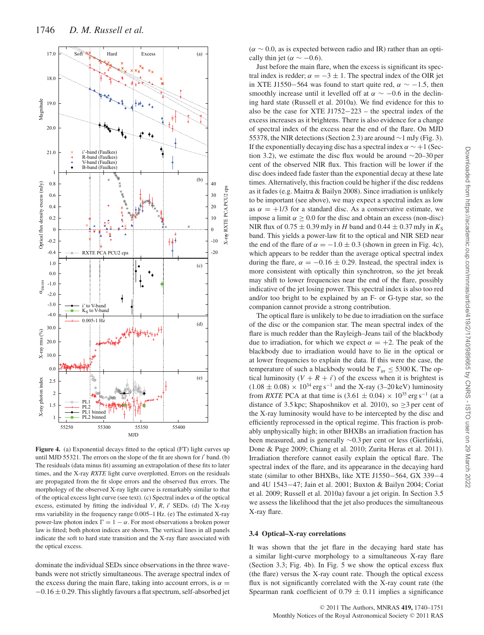

**Figure 4.** (a) Exponential decays fitted to the optical (FT) light curves up until MJD 55321. The errors on the slope of the fit are shown for *i*' band. (b) The residuals (data minus fit) assuming an extrapolation of these fits to later times, and the X-ray *RXTE* light curve overplotted. Errors on the residuals are propagated from the fit slope errors and the observed flux errors. The morphology of the observed X-ray light curve is remarkably similar to that of the optical excess light curve (see text). (c) Spectral index  $\alpha$  of the optical excess, estimated by fitting the individual *V*, *R*, *i* SEDs. (d) The X-ray rms variability in the frequency range 0.005–1 Hz. (e) The estimated X-ray power-law photon index  $Γ = 1 - α$ . For most observations a broken power law is fitted; both photon indices are shown. The vertical lines in all panels indicate the soft to hard state transition and the X-ray flare associated with the optical excess.

dominate the individual SEDs since observations in the three wavebands were not strictly simultaneous. The average spectral index of the excess during the main flare, taking into account errors, is  $\alpha =$  $-0.16 \pm 0.29$ . This slightly favours a flat spectrum, self-absorbed jet  $(\alpha \sim 0.0$ , as is expected between radio and IR) rather than an optically thin jet ( $\alpha \sim -0.6$ ).

Just before the main flare, when the excess is significant its spectral index is redder;  $\alpha = -3 \pm 1$ . The spectral index of the OIR jet in XTE J1550–564 was found to start quite red,  $\alpha \sim -1.5$ , then smoothly increase until it levelled off at  $\alpha \sim -0.6$  in the declining hard state (Russell et al. 2010a). We find evidence for this to also be the case for XTE J1752−223 – the spectral index of the excess increases as it brightens. There is also evidence for a change of spectral index of the excess near the end of the flare. On MJD 55378, the NIR detections (Section 2.3) are around ∼1 mJy (Fig. 3). If the exponentially decaying disc has a spectral index  $\alpha \sim +1$  (Section 3.2), we estimate the disc flux would be around  $\sim$ 20–30 per cent of the observed NIR flux. This fraction will be lower if the disc does indeed fade faster than the exponential decay at these late times. Alternatively, this fraction could be higher if the disc reddens as it fades (e.g. Maitra & Bailyn 2008). Since irradiation is unlikely to be important (see above), we may expect a spectral index as low as  $\alpha = +1/3$  for a standard disc. As a conservative estimate, we impose a limit  $\alpha > 0.0$  for the disc and obtain an excess (non-disc) NIR flux of  $0.75 \pm 0.39$  mJy in *H* band and  $0.44 \pm 0.37$  mJy in  $K_S$ band. This yields a power-law fit to the optical and NIR SED near the end of the flare of  $\alpha = -1.0 \pm 0.3$  (shown in green in Fig. 4c), which appears to be redder than the average optical spectral index during the flare,  $\alpha = -0.16 \pm 0.29$ . Instead, the spectral index is more consistent with optically thin synchrotron, so the jet break may shift to lower frequencies near the end of the flare, possibly indicative of the jet losing power. This spectral index is also too red and/or too bright to be explained by an F- or G-type star, so the companion cannot provide a strong contribution.

The optical flare is unlikely to be due to irradiation on the surface of the disc or the companion star. The mean spectral index of the flare is much redder than the Rayleigh–Jeans tail of the blackbody due to irradiation, for which we expect  $\alpha = +2$ . The peak of the blackbody due to irradiation would have to lie in the optical or at lower frequencies to explain the data. If this were the case, the temperature of such a blackbody would be  $T_{irr} \leq 5300$  K. The optical luminosity  $(V + R + i')$  of the excess when it is brightest is  $(1.08 \pm 0.08) \times 10^{34}$  erg s<sup>-1</sup> and the X-ray (3–20 keV) luminosity from *RXTE* PCA at that time is  $(3.61 \pm 0.04) \times 10^{35}$  erg s<sup>-1</sup> (at a distance of 3.5 kpc; Shaposhnikov et al. 2010), so  $\geq$ 3 per cent of the X-ray luminosity would have to be intercepted by the disc and efficiently reprocessed in the optical regime. This fraction is probably unphysically high; in other BHXBs an irradiation fraction has been measured, and is generally ∼0.3 per cent or less (Gierlinski, Done & Page 2009; Chiang et al. 2010; Zurita Heras et al. 2011). Irradiation therefore cannot easily explain the optical flare. The spectral index of the flare, and its appearance in the decaying hard state (similar to other BHXBs, like XTE J1550−564, GX 339−4 and 4U 1543−47; Jain et al. 2001; Buxton & Bailyn 2004; Coriat et al. 2009; Russell et al. 2010a) favour a jet origin. In Section 3.5 we assess the likelihood that the jet also produces the simultaneous X-ray flare.

#### **3.4 Optical–X-ray correlations**

It was shown that the jet flare in the decaying hard state has a similar light-curve morphology to a simultaneous X-ray flare (Section 3.3; Fig. 4b). In Fig. 5 we show the optical excess flux (the flare) versus the X-ray count rate. Though the optical excess flux is not significantly correlated with the X-ray count rate (the Spearman rank coefficient of  $0.79 \pm 0.11$  implies a significance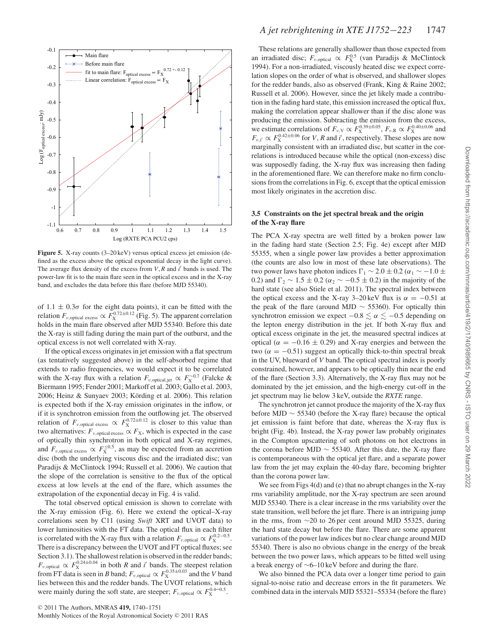

**Figure 5.** X-ray counts (3–20 keV) versus optical excess jet emission (defined as the excess above the optical exponential decay in the light curve). The average flux density of the excess from *V*, *R* and *i* bands is used. The power-law fit is to the main flare seen in the optical excess and in the X-ray band, and excludes the data before this flare (before MJD 55340).

of  $1.1 \pm 0.3\sigma$  for the eight data points), it can be fitted with the relation  $F_{\nu, \text{optical excess}} \propto F_{\text{X}}^{0.72\pm0.12}$  (Fig. 5). The apparent correlation holds in the main flare observed after MJD 55340. Before this date the X-ray is still fading during the main part of the outburst, and the optical excess is not well correlated with X-ray.

If the optical excess originates in jet emission with a flat spectrum (as tentatively suggested above) in the self-absorbed regime that extends to radio frequencies, we would expect it to be correlated with the X-ray flux with a relation  $F_{\nu,\text{optical},\text{jet}} \propto F_{\text{X}}^{\sim 0.7}$  (Falcke & Biermann 1995; Fender 2001; Markoff et al. 2003; Gallo et al. 2003, 2006; Heinz & Sunyaev 2003; Körding et al. 2006). This relation is expected both if the X-ray emission originates in the inflow, or if it is synchrotron emission from the outflowing jet. The observed relation of  $F_{\nu, \text{optical excess}} \propto F_{\text{X}}^{0.72 \pm 0.12}$  is closer to this value than two alternatives:  $F_{\nu, \text{optical excess}} \propto F_{\text{X}}$ , which is expected in the case of optically thin synchrotron in both optical and X-ray regimes, and  $F_{\nu, \text{optical excess}} \propto F_{\text{X}}^{\leq 0.5}$ , as may be expected from an accretion disc (both the underlying viscous disc and the irradiated disc; van Paradijs & McClintock 1994; Russell et al. 2006). We caution that the slope of the correlation is sensitive to the flux of the optical excess at low levels at the end of the flare, which assumes the extrapolation of the exponential decay in Fig. 4 is valid.

The total observed optical emission is shown to correlate with the X-ray emission (Fig. 6). Here we extend the optical–X-ray correlations seen by C11 (using *Swift* XRT and UVOT data) to lower luminosities with the FT data. The optical flux in each filter is correlated with the X-ray flux with a relation  $F_{\nu, \text{optical}} \propto F_{\text{X}}^{0.2-0.5}$ . There is a discrepancy between the UVOT and FT optical fluxes; see Section 3.1). The shallowest relation is observed in the redder bands;  $F_{\nu, \text{optical}} \propto F_{\text{X}}^{0.24 \pm 0.04}$  in both *R* and *i'* bands. The steepest relation from FT data is seen in *B* band;  $F_{\nu, \text{optical}} \propto F_{\text{X}}^{0.35 \pm 0.03}$  and the *V* band lies between this and the redder bands. The UVOT relations, which were mainly during the soft state, are steeper;  $F_{\nu, \text{optical}} \propto F_{\text{X}}^{0.4-0.5}$ .

These relations are generally shallower than those expected from an irradiated disc;  $F_{\nu, \text{optical}} \propto F_{\text{X}}^{0.5}$  (van Paradijs & McClintock 1994). For a non-irradiated, viscously heated disc we expect correlation slopes on the order of what is observed, and shallower slopes for the redder bands, also as observed (Frank, King & Raine 2002; Russell et al. 2006). However, since the jet likely made a contribution in the fading hard state, this emission increased the optical flux, making the correlation appear shallower than if the disc alone was producing the emission. Subtracting the emission from the excess, we estimate correlations of  $F_{\nu, V} \propto F_{X}^{0.39 \pm 0.05}$ ,  $F_{\nu, R} \propto F_{X}^{0.40 \pm 0.06}$  and  $F_{v,i'} \propto F_{\rm X}^{0.42\pm0.06}$  for *V*, *R* and *i'*, respectively. These slopes are now marginally consistent with an irradiated disc, but scatter in the correlations is introduced because while the optical (non-excess) disc was supposedly fading, the X-ray flux was increasing then fading in the aforementioned flare. We can therefore make no firm conclusions from the correlations in Fig. 6, except that the optical emission most likely originates in the accretion disc.

#### **3.5 Constraints on the jet spectral break and the origin of the X-ray flare**

The PCA X-ray spectra are well fitted by a broken power law in the fading hard state (Section 2.5; Fig. 4e) except after MJD 55355, when a single power law provides a better approximation (the counts are also low in most of these late observations). The two power laws have photon indices  $\Gamma_1$  ~ 2.0 ± 0.2 (α<sub>1</sub> ~ −1.0 ± 0.2) and  $\Gamma_2 \sim 1.5 \pm 0.2$  ( $\alpha_2 \sim -0.5 \pm 0.2$ ) in the majority of the hard state (see also Stiele et al. 2011). The spectral index between the optical excess and the X-ray 3–20 keV flux is  $\alpha = -0.51$  at the peak of the flare (around MJD  $\sim$  55360). For optically thin synchrotron emission we expect  $-0.8 \le \alpha \le -0.5$  depending on the lepton energy distribution in the jet. If both X-ray flux and optical excess originate in the jet, the measured spectral indices at optical ( $\alpha = -0.16 \pm 0.29$ ) and X-ray energies and between the two ( $\alpha = -0.51$ ) suggest an optically thick-to-thin spectral break in the UV, blueward of *V* band. The optical spectral index is poorly constrained, however, and appears to be optically thin near the end of the flare (Section 3.3). Alternatively, the X-ray flux may not be dominated by the jet emission, and the high-energy cut-off in the jet spectrum may lie below 3 keV, outside the *RXTE* range.

The synchrotron jet cannot produce the majority of the X-ray flux before MJD ∼ 55340 (before the X-ray flare) because the optical jet emission is faint before that date, whereas the X-ray flux is bright (Fig. 4b). Instead, the X-ray power law probably originates in the Compton upscattering of soft photons on hot electrons in the corona before MJD  $\sim$  55340. After this date, the X-ray flare is contemporaneous with the optical jet flare, and a separate power law from the jet may explain the 40-day flare, becoming brighter than the corona power law.

We see from Figs 4(d) and (e) that no abrupt changes in the X-ray rms variability amplitude, nor the X-ray spectrum are seen around MJD 55340. There is a clear increase in the rms variability over the state transition, well before the jet flare. There is an intriguing jump in the rms, from ∼20 to 26 per cent around MJD 55325, during the hard state decay but before the flare. There are some apparent variations of the power law indices but no clear change around MJD 55340. There is also no obvious change in the energy of the break between the two power laws, which appears to be fitted well using a break energy of ∼6–10 keV before and during the flare.

We also binned the PCA data over a longer time period to gain signal-to-noise ratio and decrease errors in the fit parameters. We combined data in the intervals MJD 55321–55334 (before the flare)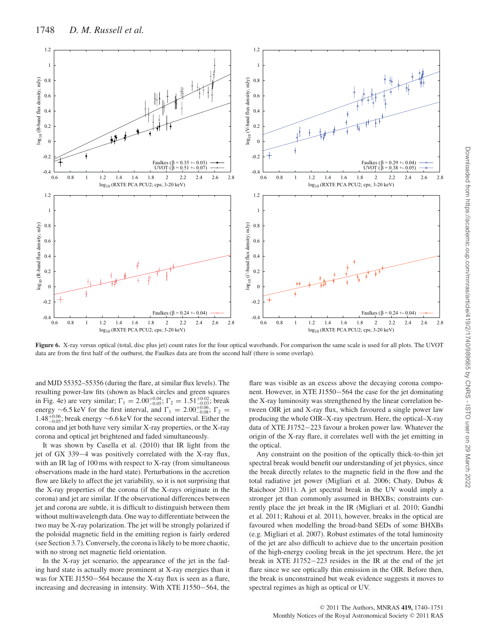

**Figure 6.** X-ray versus optical (total, disc plus jet) count rates for the four optical wavebands. For comparison the same scale is used for all plots. The UVOT data are from the first half of the outburst, the Faulkes data are from the second half (there is some overlap).

and MJD 55352–55356 (during the flare, at similar flux levels). The resulting power-law fits (shown as black circles and green squares in Fig. 4e) are very similar;  $\Gamma_1 = 2.00^{+0.04}_{-0.05}$ ;  $\Gamma_2 = 1.51^{+0.02}_{-0.03}$ ; break energy ∼6.5 keV for the first interval, and  $\Gamma_1 = 2.00_{-0.08}^{+0.06}$ ;  $\Gamma_2 =$  $1.48^{+0.06}_{-0.05}$ ; break energy ~6.6 keV for the second interval. Either the corona and jet both have very similar X-ray properties, or the X-ray corona and optical jet brightened and faded simultaneously.

It was shown by Casella et al. (2010) that IR light from the jet of GX 339−4 was positively correlated with the X-ray flux, with an IR lag of 100 ms with respect to X-ray (from simultaneous observations made in the hard state). Perturbations in the accretion flow are likely to affect the jet variability, so it is not surprising that the X-ray properties of the corona (if the X-rays originate in the corona) and jet are similar. If the observational differences between jet and corona are subtle, it is difficult to distinguish between them without multiwavelength data. One way to differentiate between the two may be X-ray polarization. The jet will be strongly polarized if the poloidal magnetic field in the emitting region is fairly ordered (see Section 3.7). Conversely, the corona is likely to be more chaotic, with no strong net magnetic field orientation.

In the X-ray jet scenario, the appearance of the jet in the fading hard state is actually more prominent at X-ray energies than it was for XTE J1550−564 because the X-ray flux is seen as a flare, increasing and decreasing in intensity. With XTE J1550−564, the

flare was visible as an excess above the decaying corona component. However, in XTE J1550−564 the case for the jet dominating the X-ray luminosity was strengthened by the linear correlation between OIR jet and X-ray flux, which favoured a single power law producing the whole OIR–X-ray spectrum. Here, the optical–X-ray data of XTE J1752−223 favour a broken power law. Whatever the origin of the X-ray flare, it correlates well with the jet emitting in the optical.

Any constraint on the position of the optically thick-to-thin jet spectral break would benefit our understanding of jet physics, since the break directly relates to the magnetic field in the flow and the total radiative jet power (Migliari et al. 2006; Chaty, Dubus & Raichoor 2011). A jet spectral break in the UV would imply a stronger jet than commonly assumed in BHXBs; constraints currently place the jet break in the IR (Migliari et al. 2010; Gandhi et al. 2011; Rahoui et al. 2011), however, breaks in the optical are favoured when modelling the broad-band SEDs of some BHXBs (e.g. Migliari et al. 2007). Robust estimates of the total luminosity of the jet are also difficult to achieve due to the uncertain position of the high-energy cooling break in the jet spectrum. Here, the jet break in XTE J1752−223 resides in the IR at the end of the jet flare since we see optically thin emission in the OIR. Before then, the break is unconstrained but weak evidence suggests it moves to spectral regimes as high as optical or UV.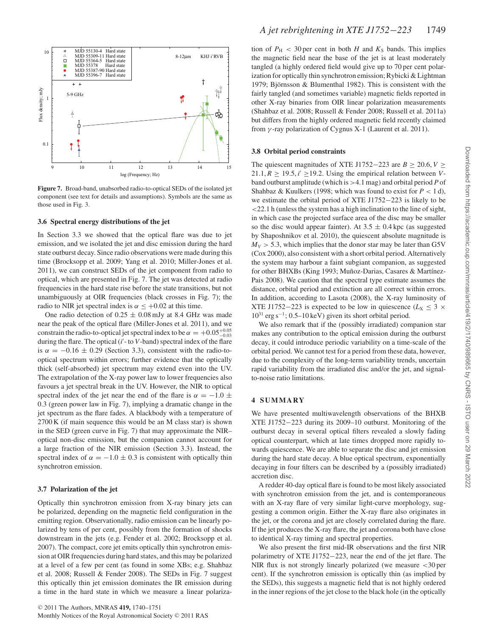

**Figure 7.** Broad-band, unabsorbed radio-to-optical SEDs of the isolated jet component (see text for details and assumptions). Symbols are the same as those used in Fig. 3.

#### **3.6 Spectral energy distributions of the jet**

In Section 3.3 we showed that the optical flare was due to jet emission, and we isolated the jet and disc emission during the hard state outburst decay. Since radio observations were made during this time (Brocksopp et al. 2009; Yang et al. 2010; Miller-Jones et al. 2011), we can construct SEDs of the jet component from radio to optical, which are presented in Fig. 7. The jet was detected at radio frequencies in the hard state rise before the state transitions, but not unambiguously at OIR frequencies (black crosses in Fig. 7); the radio to NIR jet spectral index is  $\alpha \leq +0.02$  at this time.

One radio detection of  $0.25 \pm 0.08$  mJy at 8.4 GHz was made near the peak of the optical flare (Miller-Jones et al. 2011), and we constrain the radio-to-optical jet spectral index to be  $\alpha = +0.05^{+0.05}_{-0.03}$ during the flare. The optical (*i'* - to *V*-band) spectral index of the flare is  $\alpha = -0.16 \pm 0.29$  (Section 3.3), consistent with the radio-tooptical spectrum within errors; further evidence that the optically thick (self-absorbed) jet spectrum may extend even into the UV. The extrapolation of the X-ray power law to lower frequencies also favours a jet spectral break in the UV. However, the NIR to optical spectral index of the jet near the end of the flare is  $\alpha = -1.0 \pm$ 0.3 (green power law in Fig. 7), implying a dramatic change in the jet spectrum as the flare fades. A blackbody with a temperature of 2700 K (if main sequence this would be an M class star) is shown in the SED (green curve in Fig. 7) that may approximate the NIR– optical non-disc emission, but the companion cannot account for a large fraction of the NIR emission (Section 3.3). Instead, the spectral index of  $\alpha = -1.0 \pm 0.3$  is consistent with optically thin synchrotron emission.

#### **3.7 Polarization of the jet**

Optically thin synchrotron emission from X-ray binary jets can be polarized, depending on the magnetic field configuration in the emitting region. Observationally, radio emission can be linearly polarized by tens of per cent, possibly from the formation of shocks downstream in the jets (e.g. Fender et al. 2002; Brocksopp et al. 2007). The compact, core jet emits optically thin synchrotron emission at OIR frequencies during hard states, and this may be polarized at a level of a few per cent (as found in some XBs; e.g. Shahbaz et al. 2008; Russell & Fender 2008). The SEDs in Fig. 7 suggest this optically thin jet emission dominates the IR emission during a time in the hard state in which we measure a linear polarization of  $P_H$  < 30 per cent in both *H* and  $K_S$  bands. This implies the magnetic field near the base of the jet is at least moderately tangled (a highly ordered field would give up to 70 per cent polarization for optically thin synchrotron emission; Rybicki & Lightman 1979; Björnsson & Blumenthal 1982). This is consistent with the fairly tangled (and sometimes variable) magnetic fields reported in other X-ray binaries from OIR linear polarization measurements (Shahbaz et al. 2008; Russell & Fender 2008; Russell et al. 2011a) but differs from the highly ordered magnetic field recently claimed from  $\gamma$ -ray polarization of Cygnus X-1 (Laurent et al. 2011).

#### **3.8 Orbital period constraints**

The quiescent magnitudes of XTE J1752−223 are  $B > 20.6$ ,  $V >$ 21.1,  $R \ge 19.5$ ,  $i' \ge 19.2$ . Using the empirical relation between *V*band outburst amplitude (which is >4.1 mag) and orbital period *P* of Shahbaz & Kuulkers (1998; which was found to exist for  $P < 1 d$ ), we estimate the orbital period of XTE J1752−223 is likely to be  $\leq$  22.1 h (unless the system has a high inclination to the line of sight, in which case the projected surface area of the disc may be smaller so the disc would appear fainter). At  $3.5 \pm 0.4$  kpc (as suggested by Shaposhnikov et al. 2010), the quiescent absolute magnitude is  $M_V > 5.3$ , which implies that the donor star may be later than G5V (Cox 2000), also consistent with a short orbital period. Alternatively the system may harbour a faint subgiant companion, as suggested for other BHXBs (King 1993; Muñoz-Darias, Casares & Martínez-Pais 2008). We caution that the spectral type estimate assumes the distance, orbital period and extinction are all correct within errors. In addition, according to Lasota (2008), the X-ray luminosity of XTE J1752–223 is expected to be low in quiescence ( $L_X \leq 3 \times$ 1031 erg s−1; 0.5–10 keV) given its short orbital period.

We also remark that if the (possibly irradiated) companion star makes any contribution to the optical emission during the outburst decay, it could introduce periodic variability on a time-scale of the orbital period. We cannot test for a period from these data, however, due to the complexity of the long-term variability trends, uncertain rapid variability from the irradiated disc and/or the jet, and signalto-noise ratio limitations.

#### **4 SUMMARY**

We have presented multiwavelength observations of the BHXB XTE J1752−223 during its 2009–10 outburst. Monitoring of the outburst decay in several optical filters revealed a slowly fading optical counterpart, which at late times dropped more rapidly towards quiescence. We are able to separate the disc and jet emission during the hard state decay. A blue optical spectrum, exponentially decaying in four filters can be described by a (possibly irradiated) accretion disc.

A redder 40-day optical flare is found to be most likely associated with synchrotron emission from the jet, and is contemporaneous with an X-ray flare of very similar light-curve morphology, suggesting a common origin. Either the X-ray flare also originates in the jet, or the corona and jet are closely correlated during the flare. If the jet produces the X-ray flare, the jet and corona both have close to identical X-ray timing and spectral properties.

We also present the first mid-IR observations and the first NIR polarimetry of XTE J1752−223, near the end of the jet flare. The NIR flux is not strongly linearly polarized (we measure <30 per cent). If the synchrotron emission is optically thin (as implied by the SEDs), this suggests a magnetic field that is not highly ordered in the inner regions of the jet close to the black hole (in the optically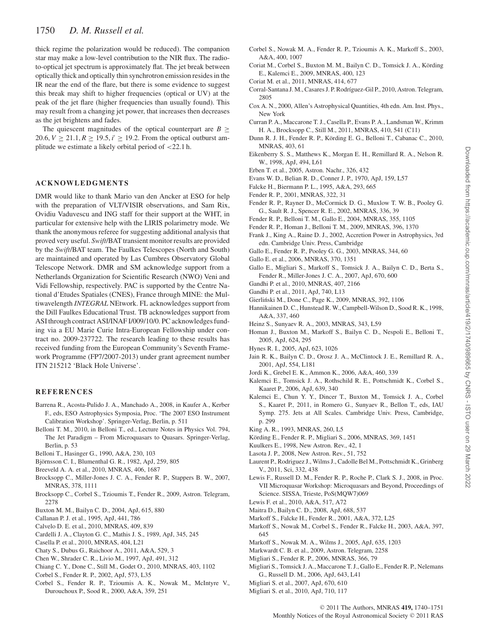thick regime the polarization would be reduced). The companion star may make a low-level contribution to the NIR flux. The radioto-optical jet spectrum is approximately flat. The jet break between optically thick and optically thin synchrotron emission resides in the IR near the end of the flare, but there is some evidence to suggest this break may shift to higher frequencies (optical or UV) at the peak of the jet flare (higher frequencies than usually found). This may result from a changing jet power, that increases then decreases as the jet brightens and fades.

The quiescent magnitudes of the optical counterpart are  $B \geq$ 20.6,  $V \ge 21.1, R \ge 19.5, i' \ge 19.2$ . From the optical outburst amplitude we estimate a likely orbital period of  $<$  22.1 h.

#### **ACKNOWLEDGMENTS**

DMR would like to thank Mario van den Ancker at ESO for help with the preparation of VLT/VISIR observations, and Sam Rix, Ovidiu Vaduvescu and ING staff for their support at the WHT, in particular for extensive help with the LIRIS polarimetry mode. We thank the anonymous referee for suggesting additional analysis that proved very useful. *Swift*/BAT transient monitor results are provided by the *Swift*/BAT team. The Faulkes Telescopes (North and South) are maintained and operated by Las Cumbres Observatory Global Telescope Network. DMR and SM acknowledge support from a Netherlands Organization for Scientific Research (NWO) Veni and Vidi Fellowship, respectively. PAC is supported by the Centre National d'Etudes Spatiales (CNES), France through MINE: the Multiwavelength *INTEGRAL* NEtwork. FL acknowledges support from the Dill Faulkes Educational Trust. TB acknowledges support from ASI through contract ASI/INAF I/009/10/0. PC acknowledges funding via a EU Marie Curie Intra-European Fellowship under contract no. 2009-237722. The research leading to these results has received funding from the European Community's Seventh Framework Programme (FP7/2007-2013) under grant agreement number ITN 215212 'Black Hole Universe'.

#### **REFERENCES**

- Barrena R., Acosta-Pulido J. A., Manchado A., 2008, in Kaufer A., Kerber F., eds, ESO Astrophysics Symposia, Proc. 'The 2007 ESO Instrument Calibration Workshop'. Springer-Verlag, Berlin, p. 511
- Belloni T. M., 2010, in Belloni T., ed., Lecture Notes in Physics Vol. 794, The Jet Paradigm – From Microquasars to Quasars. Springer-Verlag, Berlin, p. 53
- Belloni T., Hasinger G., 1990, A&A, 230, 103
- Björnsson C. I., Blumenthal G. R., 1982, ApJ, 259, 805
- Breeveld A. A. et al., 2010, MNRAS, 406, 1687
- Brocksopp C., Miller-Jones J. C. A., Fender R. P., Stappers B. W., 2007, MNRAS, 378, 1111
- Brocksopp C., Corbel S., Tzioumis T., Fender R., 2009, Astron. Telegram, 2278
- Buxton M. M., Bailyn C. D., 2004, ApJ, 615, 880
- Callanan P. J. et al., 1995, ApJ, 441, 786
- Calvelo D. E. et al., 2010, MNRAS, 409, 839
- Cardelli J. A., Clayton G. C., Mathis J. S., 1989, ApJ, 345, 245
- Casella P. et al., 2010, MNRAS, 404, L21
- Chaty S., Dubus G., Raichoor A., 2011, A&A, 529, 3
- Chen W., Shrader C. R., Livio M., 1997, ApJ, 491, 312
- Chiang C. Y., Done C., Still M., Godet O., 2010, MNRAS, 403, 1102
- Corbel S., Fender R. P., 2002, ApJ, 573, L35
- Corbel S., Fender R. P., Tzioumis A. K., Nowak M., McIntyre V., Durouchoux P., Sood R., 2000, A&A, 359, 251
- Corbel S., Nowak M. A., Fender R. P., Tzioumis A. K., Markoff S., 2003, A&A, 400, 1007
- Coriat M., Corbel S., Buxton M. M., Bailyn C. D., Tomsick J. A., Körding E., Kalemci E., 2009, MNRAS, 400, 123
- Coriat M. et al., 2011, MNRAS, 414, 677
- Corral-Santana J. M., Casares J. P. Rodríguez-Gil P., 2010, Astron. Telegram, 2805
- Cox A. N., 2000, Allen's Astrophysical Quantities, 4th edn. Am. Inst. Phys., New York
- Curran P. A., Maccarone T. J., Casella P., Evans P. A., Landsman W., Krimm H. A., Brocksopp C., Still M., 2011, MNRAS, 410, 541 (C11)
- Dunn R. J. H., Fender R. P., Körding E. G., Belloni T., Cabanac C., 2010, MNRAS, 403, 61
- Eikenberry S. S., Matthews K., Morgan E. H., Remillard R. A., Nelson R. W., 1998, ApJ, 494, L61
- Erben T. et al., 2005, Astron. Nachr., 326, 432
- Evans W. D., Belian R. D., Conner J. P., 1970, ApJ, 159, L57
- Falcke H., Biermann P. L., 1995, A&A, 293, 665
- Fender R. P., 2001, MNRAS, 322, 31
- Fender R. P., Rayner D., McCormick D. G., Muxlow T. W. B., Pooley G. G., Sault R. J., Spencer R. E., 2002, MNRAS, 336, 39
- Fender R. P., Belloni T. M., Gallo E., 2004, MNRAS, 355, 1105
- Fender R. P., Homan J., Belloni T. M., 2009, MNRAS, 396, 1370
- Frank J., King A., Raine D. J., 2002, Accretion Power in Astrophysics, 3rd edn. Cambridge Univ. Press, Cambridge
- Gallo E., Fender R. P., Pooley G. G., 2003, MNRAS, 344, 60
- Gallo E. et al., 2006, MNRAS, 370, 1351
- Gallo E., Migliari S., Markoff S., Tomsick J. A., Bailyn C. D., Berta S., Fender R., Miller-Jones J. C. A., 2007, ApJ, 670, 600
- Gandhi P. et al., 2010, MNRAS, 407, 2166
- Gandhi P. et al., 2011, ApJ, 740, L13
- Gierlinski M., Done C., Page K., 2009, MNRAS, 392, 1106 ´
- Hannikainen D. C., Hunstead R. W., Campbell-Wilson D., Sood R. K., 1998, A&A, 337, 460
- Heinz S., Sunyaev R. A., 2003, MNRAS, 343, L59
- Homan J., Buxton M., Markoff S., Bailyn C. D., Nespoli E., Belloni T., 2005, ApJ, 624, 295
- Hynes R. I., 2005, ApJ, 623, 1026
- Jain R. K., Bailyn C. D., Orosz J. A., McClintock J. E., Remillard R. A., 2001, ApJ, 554, L181
- Jordi K., Grebel E. K., Ammon K., 2006, A&A, 460, 339
- Kalemci E., Tomsick J. A., Rothschild R. E., Pottschmidt K., Corbel S., Kaaret P., 2006, ApJ, 639, 340
- Kalemci E., Chun Y. Y., Dincer T., Buxton M., Tomsick J. A., Corbel S., Kaaret P., 2011, in Romero G., Sunyaev R., Bellon T., eds, IAU Symp. 275. Jets at All Scales. Cambridge Univ. Press, Cambridge, p. 299
- King A. R., 1993, MNRAS, 260, L5
- Körding E., Fender R. P., Migliari S., 2006, MNRAS, 369, 1451
- Kuulkers E., 1998, New Astron. Rev., 42, 1
- Lasota J. P., 2008, New Astron. Rev., 51, 752
- Laurent P., Rodriguez J., Wilms J., Cadolle Bel M., Pottschmidt K., Grinberg V., 2011, Sci, 332, 438
- Lewis F., Russell D. M., Fender R. P., Roche P., Clark S. J., 2008, in Proc. VII Microquasar Workshop: Microquasars and Beyond, Proceedings of Science. SISSA, Trieste, PoS(MQW7)069
- Lewis F. et al., 2010, A&A, 517, A72
- Maitra D., Bailyn C. D., 2008, ApJ, 688, 537
- Markoff S., Falcke H., Fender R., 2001, A&A, 372, L25
- Markoff S., Nowak M., Corbel S., Fender R., Falcke H., 2003, A&A, 397, 645
- Markoff S., Nowak M. A., Wilms J., 2005, ApJ, 635, 1203
- Markwardt C. B. et al., 2009, Astron. Telegram, 2258
- Migliari S., Fender R. P., 2006, MNRAS, 366, 79
- Migliari S., Tomsick J. A., Maccarone T. J., Gallo E., Fender R. P., Nelemans G., Russell D. M., 2006, ApJ, 643, L41
- Migliari S. et al., 2007, ApJ, 670, 610
- Migliari S. et al., 2010, ApJ, 710, 117